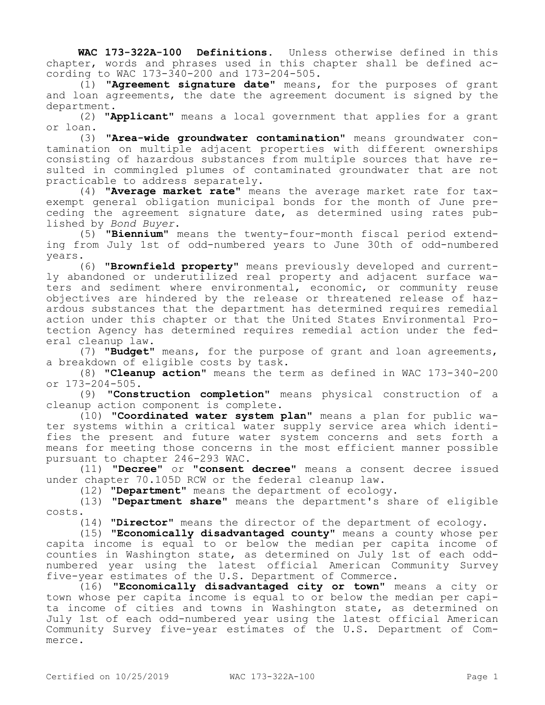**WAC 173-322A-100 Definitions.** Unless otherwise defined in this chapter, words and phrases used in this chapter shall be defined according to WAC 173-340-200 and 173-204-505.

(1) **"Agreement signature date"** means, for the purposes of grant and loan agreements, the date the agreement document is signed by the department.

(2) **"Applicant"** means a local government that applies for a grant or loan.

(3) **"Area-wide groundwater contamination"** means groundwater contamination on multiple adjacent properties with different ownerships consisting of hazardous substances from multiple sources that have resulted in commingled plumes of contaminated groundwater that are not practicable to address separately.

(4) **"Average market rate"** means the average market rate for taxexempt general obligation municipal bonds for the month of June preceding the agreement signature date, as determined using rates published by *Bond Buyer*.

(5) **"Biennium"** means the twenty-four-month fiscal period extending from July 1st of odd-numbered years to June 30th of odd-numbered years.

(6) **"Brownfield property"** means previously developed and currently abandoned or underutilized real property and adjacent surface waters and sediment where environmental, economic, or community reuse objectives are hindered by the release or threatened release of hazardous substances that the department has determined requires remedial action under this chapter or that the United States Environmental Protection Agency has determined requires remedial action under the federal cleanup law.

(7) **"Budget"** means, for the purpose of grant and loan agreements, a breakdown of eligible costs by task.

(8) **"Cleanup action"** means the term as defined in WAC 173-340-200 or 173-204-505.

(9) **"Construction completion"** means physical construction of a cleanup action component is complete.

(10) **"Coordinated water system plan"** means a plan for public water systems within a critical water supply service area which identifies the present and future water system concerns and sets forth a means for meeting those concerns in the most efficient manner possible pursuant to chapter 246-293 WAC.

(11) **"Decree"** or **"consent decree"** means a consent decree issued under chapter 70.105D RCW or the federal cleanup law.

(12) **"Department"** means the department of ecology.

(13) **"Department share"** means the department's share of eligible costs.

(14) **"Director"** means the director of the department of ecology.

(15) **"Economically disadvantaged county"** means a county whose per capita income is equal to or below the median per capita income of counties in Washington state, as determined on July 1st of each oddnumbered year using the latest official American Community Survey five-year estimates of the U.S. Department of Commerce.

(16) **"Economically disadvantaged city or town"** means a city or town whose per capita income is equal to or below the median per capita income of cities and towns in Washington state, as determined on July 1st of each odd-numbered year using the latest official American Community Survey five-year estimates of the U.S. Department of Commerce.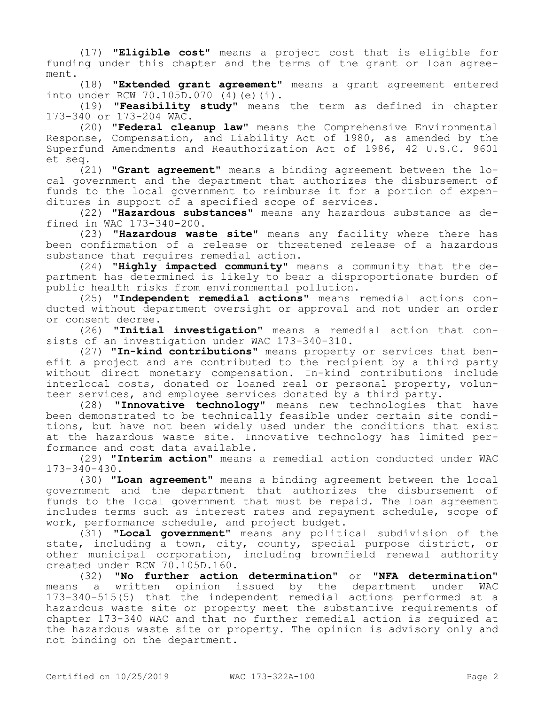(17) **"Eligible cost"** means a project cost that is eligible for funding under this chapter and the terms of the grant or loan agreement.

(18) **"Extended grant agreement"** means a grant agreement entered into under RCW 70.105D.070 (4)(e)(i).

(19) **"Feasibility study"** means the term as defined in chapter 173-340 or 173-204 WAC.

(20) **"Federal cleanup law"** means the Comprehensive Environmental Response, Compensation, and Liability Act of 1980, as amended by the Superfund Amendments and Reauthorization Act of 1986, 42 U.S.C. 9601 et seq.

(21) **"Grant agreement"** means a binding agreement between the local government and the department that authorizes the disbursement of funds to the local government to reimburse it for a portion of expenditures in support of a specified scope of services.

(22) **"Hazardous substances"** means any hazardous substance as defined in WAC 173-340-200.

(23) **"Hazardous waste site"** means any facility where there has been confirmation of a release or threatened release of a hazardous substance that requires remedial action.

(24) **"Highly impacted community"** means a community that the department has determined is likely to bear a disproportionate burden of public health risks from environmental pollution.

(25) **"Independent remedial actions"** means remedial actions conducted without department oversight or approval and not under an order or consent decree.

(26) **"Initial investigation"** means a remedial action that consists of an investigation under WAC 173-340-310.

(27) **"In-kind contributions"** means property or services that benefit a project and are contributed to the recipient by a third party without direct monetary compensation. In-kind contributions include interlocal costs, donated or loaned real or personal property, volunteer services, and employee services donated by a third party.

(28) **"Innovative technology"** means new technologies that have been demonstrated to be technically feasible under certain site conditions, but have not been widely used under the conditions that exist at the hazardous waste site. Innovative technology has limited performance and cost data available.

(29) **"Interim action"** means a remedial action conducted under WAC 173-340-430.

(30) **"Loan agreement"** means a binding agreement between the local government and the department that authorizes the disbursement of funds to the local government that must be repaid. The loan agreement includes terms such as interest rates and repayment schedule, scope of work, performance schedule, and project budget.

(31) **"Local government"** means any political subdivision of the state, including a town, city, county, special purpose district, or other municipal corporation, including brownfield renewal authority created under RCW 70.105D.160.

(32) **"No further action determination"** or **"NFA determination"**  means a written opinion issued by the department under WAC 173-340-515(5) that the independent remedial actions performed at a hazardous waste site or property meet the substantive requirements of chapter 173-340 WAC and that no further remedial action is required at the hazardous waste site or property. The opinion is advisory only and not binding on the department.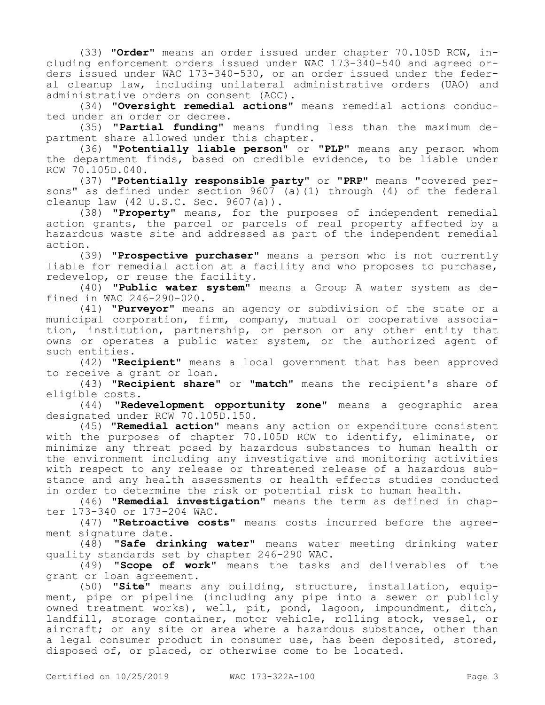(33) **"Order"** means an order issued under chapter 70.105D RCW, including enforcement orders issued under WAC 173-340-540 and agreed orders issued under WAC 173-340-530, or an order issued under the federal cleanup law, including unilateral administrative orders (UAO) and administrative orders on consent (AOC).

(34) **"Oversight remedial actions"** means remedial actions conducted under an order or decree.

(35) **"Partial funding"** means funding less than the maximum department share allowed under this chapter.

(36) **"Potentially liable person"** or "**PLP"** means any person whom the department finds, based on credible evidence, to be liable under RCW 70.105D.040.

(37) **"Potentially responsible party"** or "**PRP"** means "covered persons" as defined under section  $9607$  (a)(1) through (4) of the federal cleanup law (42 U.S.C. Sec. 9607(a)).

(38) **"Property"** means, for the purposes of independent remedial action grants, the parcel or parcels of real property affected by a hazardous waste site and addressed as part of the independent remedial action.

(39) **"Prospective purchaser"** means a person who is not currently liable for remedial action at a facility and who proposes to purchase, redevelop, or reuse the facility.

(40) **"Public water system"** means a Group A water system as defined in WAC 246-290-020.

(41) **"Purveyor"** means an agency or subdivision of the state or a municipal corporation, firm, company, mutual or cooperative association, institution, partnership, or person or any other entity that owns or operates a public water system, or the authorized agent of such entities.

(42) **"Recipient"** means a local government that has been approved to receive a grant or loan.

(43) **"Recipient share"** or **"match"** means the recipient's share of eligible costs.

(44) **"Redevelopment opportunity zone"** means a geographic area designated under RCW 70.105D.150.

(45) **"Remedial action"** means any action or expenditure consistent with the purposes of chapter 70.105D RCW to identify, eliminate, or minimize any threat posed by hazardous substances to human health or the environment including any investigative and monitoring activities with respect to any release or threatened release of a hazardous substance and any health assessments or health effects studies conducted in order to determine the risk or potential risk to human health.

(46) **"Remedial investigation"** means the term as defined in chapter 173-340 or 173-204 WAC.

(47) **"Retroactive costs"** means costs incurred before the agreement signature date.

(48) **"Safe drinking water"** means water meeting drinking water quality standards set by chapter 246-290 WAC.

(49) **"Scope of work"** means the tasks and deliverables of the grant or loan agreement.

(50) **"Site"** means any building, structure, installation, equipment, pipe or pipeline (including any pipe into a sewer or publicly owned treatment works), well, pit, pond, lagoon, impoundment, ditch, landfill, storage container, motor vehicle, rolling stock, vessel, or aircraft; or any site or area where a hazardous substance, other than a legal consumer product in consumer use, has been deposited, stored, disposed of, or placed, or otherwise come to be located.